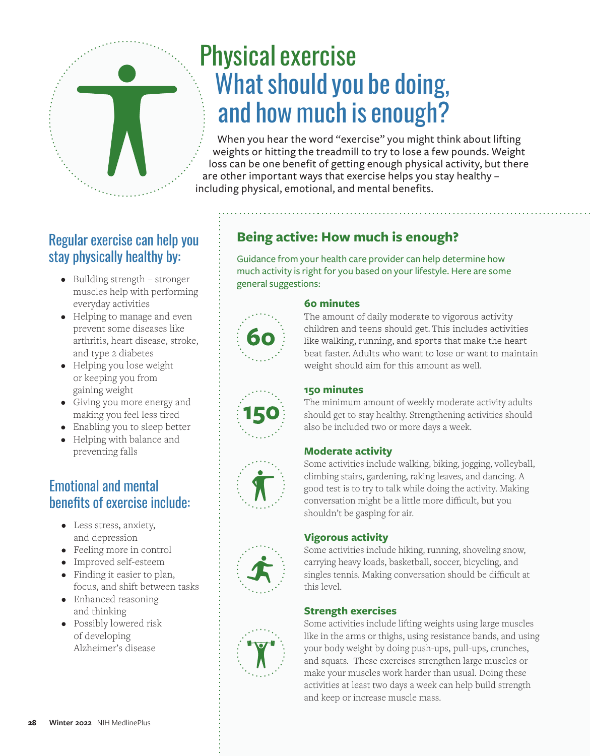

# Physical exercise What should you be doing, and how much is enough?

When you hear the word "exercise" you might think about lifting weights or hitting the treadmill to try to lose a few pounds. Weight loss can be one benefit of getting enough physical activity, but there are other important ways that exercise helps you stay healthy – including physical, emotional, and mental benefits.

# Regular exercise can help you stay physically healthy by:

- Building strength stronger muscles help with performing everyday activities
- Helping to manage and even prevent some diseases like arthritis, heart disease, stroke, and type 2 diabetes
- Helping you lose weight or keeping you from gaining weight
- Giving you more energy and making you feel less tired
- Enabling you to sleep better
- Helping with balance and preventing falls

# Emotional and mental benefits of exercise include:

- Less stress, anxiety, and depression
- Feeling more in control
- Improved self-esteem
- Finding it easier to plan, focus, and shift between tasks
- Enhanced reasoning and thinking
- Possibly lowered risk of developing Alzheimer's disease

# **Being active: How much is enough?**

Guidance from your health care provider can help determine how much activity is right for you based on your lifestyle. Here are some general suggestions:



# **60 minutes**

The amount of daily moderate to vigorous activity children and teens should get. This includes activities like walking, running, and sports that make the heart beat faster. Adults who want to lose or want to maintain weight should aim for this amount as well.



## **150 minutes**

The minimum amount of weekly moderate activity adults should get to stay healthy. Strengthening activities should also be included two or more days a week.

# **Moderate activity**

Some activities include walking, biking, jogging, volleyball, climbing stairs, gardening, raking leaves, and dancing. A good test is to try to talk while doing the activity. Making conversation might be a little more difficult, but you shouldn't be gasping for air.

# **Vigorous activity**

Some activities include hiking, running, shoveling snow, carrying heavy loads, basketball, soccer, bicycling, and singles tennis. Making conversation should be difficult at this level.

# **Strength exercises**

Some activities include lifting weights using large muscles like in the arms or thighs, using resistance bands, and using your body weight by doing push-ups, pull-ups, crunches, and squats. These exercises strengthen large muscles or make your muscles work harder than usual. Doing these activities at least two days a week can help build strength and keep or increase muscle mass.